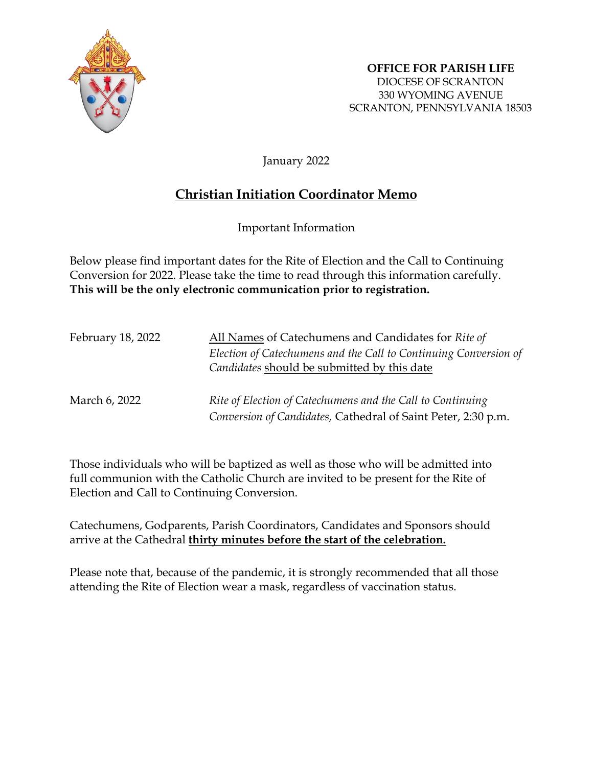

January 2022

# **Christian Initiation Coordinator Memo**

Important Information

Below please find important dates for the Rite of Election and the Call to Continuing Conversion for 2022. Please take the time to read through this information carefully. **This will be the only electronic communication prior to registration.**

| February 18, 2022 | All Names of Catechumens and Candidates for Rite of                                                                         |
|-------------------|-----------------------------------------------------------------------------------------------------------------------------|
|                   | Election of Catechumens and the Call to Continuing Conversion of<br>Candidates should be submitted by this date             |
| March 6, 2022     | Rite of Election of Catechumens and the Call to Continuing<br>Conversion of Candidates, Cathedral of Saint Peter, 2:30 p.m. |

Those individuals who will be baptized as well as those who will be admitted into full communion with the Catholic Church are invited to be present for the Rite of Election and Call to Continuing Conversion.

Catechumens, Godparents, Parish Coordinators, Candidates and Sponsors should arrive at the Cathedral **thirty minutes before the start of the celebration.**

Please note that, because of the pandemic, it is strongly recommended that all those attending the Rite of Election wear a mask, regardless of vaccination status.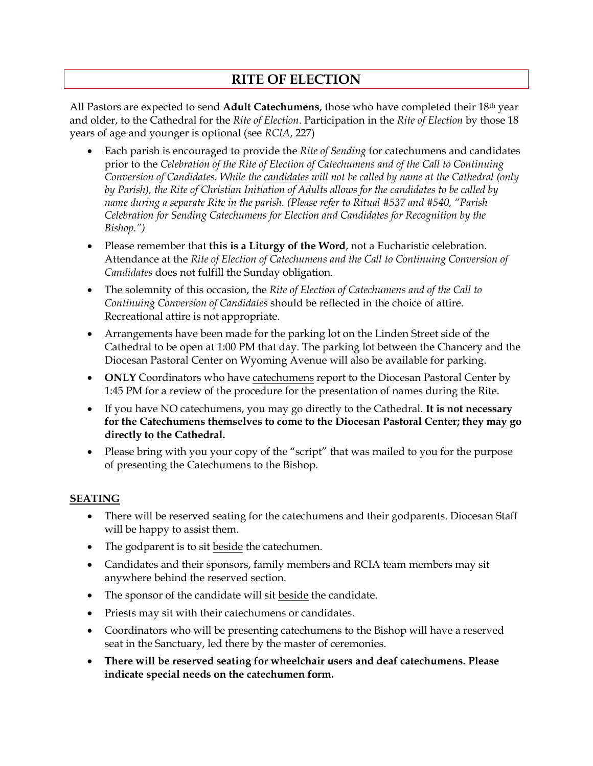## **RITE OF ELECTION**

All Pastors are expected to send **Adult Catechumens**, those who have completed their 18th year and older, to the Cathedral for the *Rite of Election*. Participation in the *Rite of Election* by those 18 years of age and younger is optional (see *RCIA*, 227)

- Each parish is encouraged to provide the *Rite of Sending* for catechumens and candidates prior to the *Celebration of the Rite of Election of Catechumens and of the Call to Continuing Conversion of Candidates. While the candidates will not be called by name at the Cathedral (only by Parish), the Rite of Christian Initiation of Adults allows for the candidates to be called by name during a separate Rite in the parish. (Please refer to Ritual #537 and #540, "Parish Celebration for Sending Catechumens for Election and Candidates for Recognition by the Bishop.")*
- Please remember that **this is a Liturgy of the Word**, not a Eucharistic celebration. Attendance at the *Rite of Election of Catechumens and the Call to Continuing Conversion of Candidates* does not fulfill the Sunday obligation.
- The solemnity of this occasion, the *Rite of Election of Catechumens and of the Call to Continuing Conversion of Candidates* should be reflected in the choice of attire. Recreational attire is not appropriate.
- Arrangements have been made for the parking lot on the Linden Street side of the Cathedral to be open at 1:00 PM that day. The parking lot between the Chancery and the Diocesan Pastoral Center on Wyoming Avenue will also be available for parking.
- **ONLY** Coordinators who have catechumens report to the Diocesan Pastoral Center by 1:45 PM for a review of the procedure for the presentation of names during the Rite.
- If you have NO catechumens, you may go directly to the Cathedral. **It is not necessary for the Catechumens themselves to come to the Diocesan Pastoral Center; they may go directly to the Cathedral.**
- Please bring with you your copy of the "script" that was mailed to you for the purpose of presenting the Catechumens to the Bishop.

### **SEATING**

- There will be reserved seating for the catechumens and their godparents. Diocesan Staff will be happy to assist them.
- The godparent is to sit beside the cate chumen.
- Candidates and their sponsors, family members and RCIA team members may sit anywhere behind the reserved section.
- The sponsor of the candidate will sit beside the candidate.
- Priests may sit with their catechumens or candidates.
- Coordinators who will be presenting catechumens to the Bishop will have a reserved seat in the Sanctuary, led there by the master of ceremonies.
- **There will be reserved seating for wheelchair users and deaf catechumens. Please indicate special needs on the catechumen form.**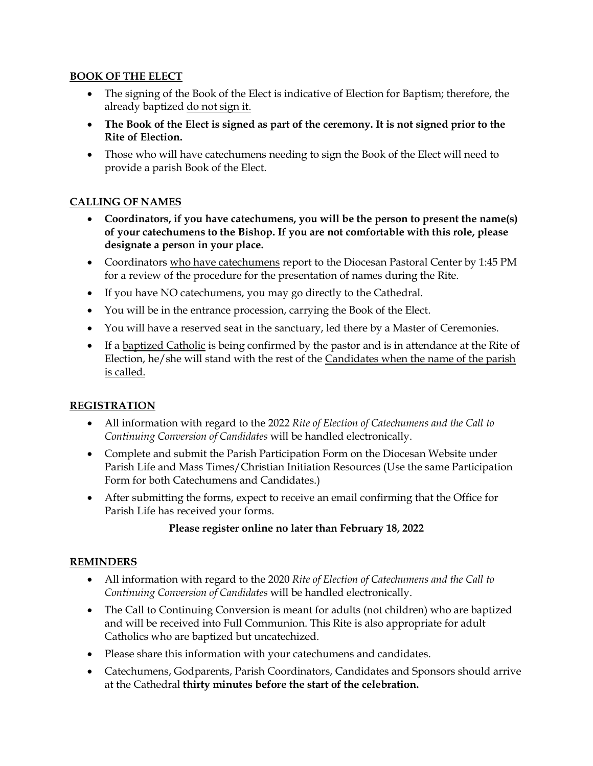#### **BOOK OF THE ELECT**

- The signing of the Book of the Elect is indicative of Election for Baptism; therefore, the already baptized do not sign it.
- **The Book of the Elect is signed as part of the ceremony. It is not signed prior to the Rite of Election.**
- Those who will have catechumens needing to sign the Book of the Elect will need to provide a parish Book of the Elect.

### **CALLING OF NAMES**

- **Coordinators, if you have catechumens, you will be the person to present the name(s) of your catechumens to the Bishop. If you are not comfortable with this role, please designate a person in your place.**
- Coordinators who have catechumens report to the Diocesan Pastoral Center by 1:45 PM for a review of the procedure for the presentation of names during the Rite.
- If you have NO catechumens, you may go directly to the Cathedral.
- You will be in the entrance procession, carrying the Book of the Elect.
- You will have a reserved seat in the sanctuary, led there by a Master of Ceremonies.
- If a baptized Catholic is being confirmed by the pastor and is in attendance at the Rite of Election, he/she will stand with the rest of the Candidates when the name of the parish is called.

### **REGISTRATION**

- All information with regard to the 2022 *Rite of Election of Catechumens and the Call to Continuing Conversion of Candidates* will be handled electronically.
- Complete and submit the Parish Participation Form on the Diocesan Website under Parish Life and Mass Times/Christian Initiation Resources (Use the same Participation Form for both Catechumens and Candidates.)
- After submitting the forms, expect to receive an email confirming that the Office for Parish Life has received your forms.

### **Please register online no later than February 18, 2022**

### **REMINDERS**

- All information with regard to the 2020 *Rite of Election of Catechumens and the Call to Continuing Conversion of Candidates* will be handled electronically.
- The Call to Continuing Conversion is meant for adults (not children) who are baptized and will be received into Full Communion. This Rite is also appropriate for adult Catholics who are baptized but uncatechized.
- Please share this information with your catechumens and candidates.
- Catechumens, Godparents, Parish Coordinators, Candidates and Sponsors should arrive at the Cathedral **thirty minutes before the start of the celebration.**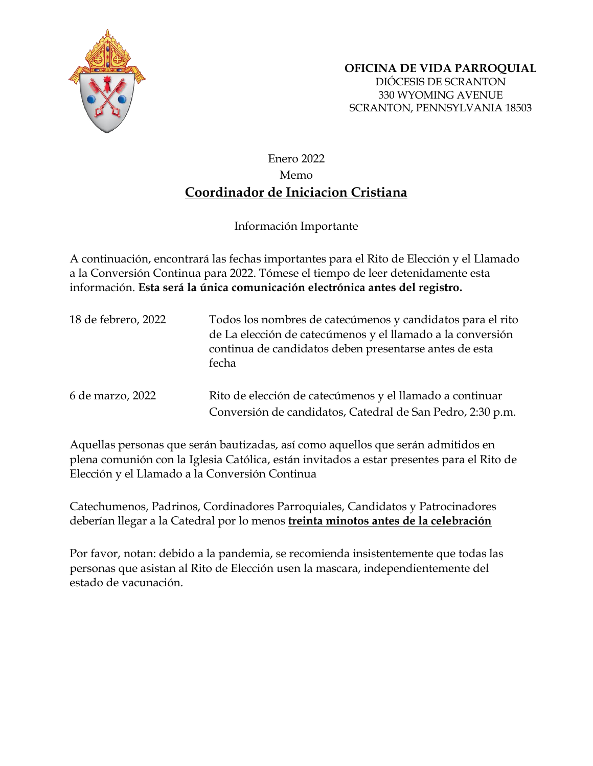

SCRANTON, PENNSYLVANIA 18503

## Enero 2022 Memo **Coordinador de Iniciacion Cristiana**

Información Importante

A continuación, encontrará las fechas importantes para el Rito de Elección y el Llamado a la Conversión Continua para 2022. Tómese el tiempo de leer detenidamente esta información. **Esta será la única comunicación electrónica antes del registro.**

| 18 de febrero, 2022 | Todos los nombres de catecúmenos y candidatos para el rito<br>de La elección de catecúmenos y el llamado a la conversión<br>continua de candidatos deben presentarse antes de esta<br>fecha |
|---------------------|---------------------------------------------------------------------------------------------------------------------------------------------------------------------------------------------|
| 6 de marzo, 2022    | Rito de elección de catecúmenos y el llamado a continuar<br>Conversión de candidatos, Catedral de San Pedro, 2:30 p.m.                                                                      |

Aquellas personas que serán bautizadas, así como aquellos que serán admitidos en plena comunión con la Iglesia Católica, están invitados a estar presentes para el Rito de Elección y el Llamado a la Conversión Continua

Catechumenos, Padrinos, Cordinadores Parroquiales, Candidatos y Patrocinadores deberían llegar a la Catedral por lo menos **treinta minotos antes de la celebración**

Por favor, notan: debido a la pandemia, se recomienda insistentemente que todas las personas que asistan al Rito de Elección usen la mascara, independientemente del estado de vacunación.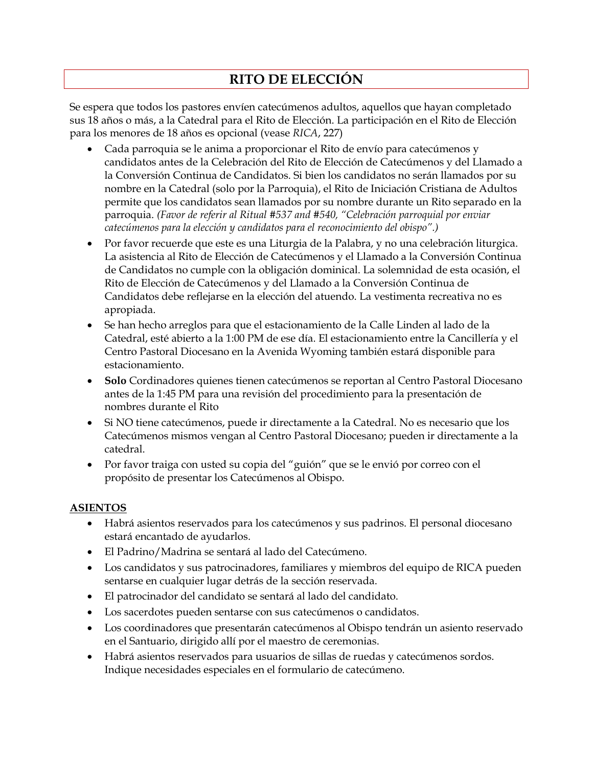# **RITO DE ELECCIÓN**

Se espera que todos los pastores envíen catecúmenos adultos, aquellos que hayan completado sus 18 años o más, a la Catedral para el Rito de Elección. La participación en el Rito de Elección para los menores de 18 años es opcional (vease *RICA*, 227)

- Cada parroquia se le anima a proporcionar el Rito de envío para catecúmenos y candidatos antes de la Celebración del Rito de Elección de Catecúmenos y del Llamado a la Conversión Continua de Candidatos. Si bien los candidatos no serán llamados por su nombre en la Catedral (solo por la Parroquia), el Rito de Iniciación Cristiana de Adultos permite que los candidatos sean llamados por su nombre durante un Rito separado en la parroquia. *(Favor de referir al Ritual #537 and #540, "Celebración parroquial por enviar catecúmenos para la elección y candidatos para el reconocimiento del obispo".)*
- Por favor recuerde que este es una Liturgia de la Palabra, y no una celebración liturgica. La asistencia al Rito de Elección de Catecúmenos y el Llamado a la Conversión Continua de Candidatos no cumple con la obligación dominical. La solemnidad de esta ocasión, el Rito de Elección de Catecúmenos y del Llamado a la Conversión Continua de Candidatos debe reflejarse en la elección del atuendo. La vestimenta recreativa no es apropiada.
- Se han hecho arreglos para que el estacionamiento de la Calle Linden al lado de la Catedral, esté abierto a la 1:00 PM de ese día. El estacionamiento entre la Cancillería y el Centro Pastoral Diocesano en la Avenida Wyoming también estará disponible para estacionamiento.
- **Solo** Cordinadores quienes tienen catecúmenos se reportan al Centro Pastoral Diocesano antes de la 1:45 PM para una revisión del procedimiento para la presentación de nombres durante el Rito
- Si NO tiene catecúmenos, puede ir directamente a la Catedral. No es necesario que los Catecúmenos mismos vengan al Centro Pastoral Diocesano; pueden ir directamente a la catedral.
- Por favor traiga con usted su copia del "guión" que se le envió por correo con el propósito de presentar los Catecúmenos al Obispo.

### **ASIENTOS**

- Habrá asientos reservados para los catecúmenos y sus padrinos. El personal diocesano estará encantado de ayudarlos.
- El Padrino/Madrina se sentará al lado del Catecúmeno.
- Los candidatos y sus patrocinadores, familiares y miembros del equipo de RICA pueden sentarse en cualquier lugar detrás de la sección reservada.
- El patrocinador del candidato se sentará al lado del candidato.
- Los sacerdotes pueden sentarse con sus catecúmenos o candidatos.
- Los coordinadores que presentarán catecúmenos al Obispo tendrán un asiento reservado en el Santuario, dirigido allí por el maestro de ceremonias.
- Habrá asientos reservados para usuarios de sillas de ruedas y catecúmenos sordos. Indique necesidades especiales en el formulario de catecúmeno.